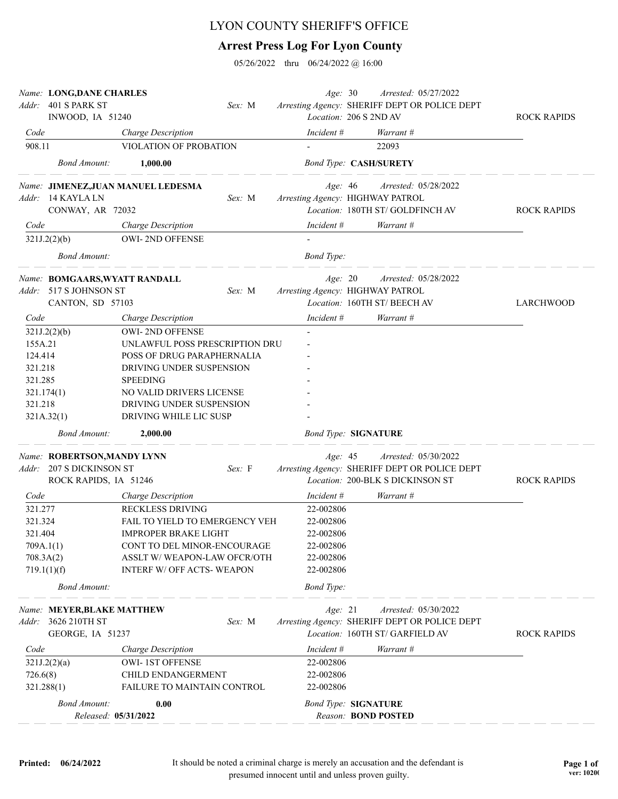## LYON COUNTY SHERIFF'S OFFICE

## **Arrest Press Log For Lyon County**

05/26/2022 thru 06/24/2022 @ 16:00

| Addr:     | Name: LONG, DANE CHARLES<br>401 S PARK ST |                                                    | Sex: M | Age: 30                          | Arrested: 05/27/2022<br>Arresting Agency: SHERIFF DEPT OR POLICE DEPT |                    |
|-----------|-------------------------------------------|----------------------------------------------------|--------|----------------------------------|-----------------------------------------------------------------------|--------------------|
|           | INWOOD, IA 51240                          |                                                    |        | Location: 206 S 2ND AV           |                                                                       | <b>ROCK RAPIDS</b> |
| Code      |                                           | Charge Description                                 |        | Incident #                       | Warrant #                                                             |                    |
| 908.11    |                                           | VIOLATION OF PROBATION                             |        |                                  | 22093                                                                 |                    |
|           | <b>Bond Amount:</b>                       | 1,000.00                                           |        |                                  | <b>Bond Type: CASH/SURETY</b>                                         |                    |
|           |                                           | Name: JIMENEZ, JUAN MANUEL LEDESMA                 |        | Age: 46                          | Arrested: 05/28/2022                                                  |                    |
|           | Addr: 14 KAYLA LN                         |                                                    | Sex: M | Arresting Agency: HIGHWAY PATROL |                                                                       |                    |
|           | CONWAY, AR 72032                          |                                                    |        |                                  | Location: 180TH ST/GOLDFINCH AV                                       | <b>ROCK RAPIDS</b> |
| Code      |                                           | Charge Description                                 |        | Incident #                       | Warrant #                                                             |                    |
|           | 321J.2(2)(b)                              | <b>OWI-2ND OFFENSE</b>                             |        |                                  |                                                                       |                    |
|           | <b>Bond Amount:</b>                       |                                                    |        | <b>Bond Type:</b>                |                                                                       |                    |
|           | Name: BOMGAARS, WYATT RANDALL             |                                                    |        | Age: 20                          | Arrested: 05/28/2022                                                  |                    |
|           | Addr: 517 S JOHNSON ST                    |                                                    | Sex: M | Arresting Agency: HIGHWAY PATROL |                                                                       |                    |
|           | CANTON, SD 57103                          |                                                    |        |                                  | Location: 160TH ST/BEECH AV                                           | LARCHWOOD          |
| Code      |                                           | Charge Description                                 |        | Incident #                       | Warrant #                                                             |                    |
|           | 321J.2(2)(b)                              | <b>OWI-2ND OFFENSE</b>                             |        |                                  |                                                                       |                    |
| 155A.21   |                                           | UNLAWFUL POSS PRESCRIPTION DRU                     |        |                                  |                                                                       |                    |
| 124.414   |                                           | POSS OF DRUG PARAPHERNALIA                         |        |                                  |                                                                       |                    |
| 321.218   |                                           | DRIVING UNDER SUSPENSION                           |        |                                  |                                                                       |                    |
| 321.285   |                                           | <b>SPEEDING</b>                                    |        |                                  |                                                                       |                    |
|           | 321.174(1)                                | NO VALID DRIVERS LICENSE                           |        |                                  |                                                                       |                    |
| 321.218   |                                           | DRIVING UNDER SUSPENSION<br>DRIVING WHILE LIC SUSP |        |                                  |                                                                       |                    |
|           | 321A.32(1)                                |                                                    |        |                                  |                                                                       |                    |
|           | <b>Bond Amount:</b>                       | 2,000.00                                           |        | <b>Bond Type: SIGNATURE</b>      |                                                                       |                    |
|           | Name: ROBERTSON, MANDY LYNN               |                                                    |        | Age: 45                          | Arrested: 05/30/2022                                                  |                    |
|           | Addr: 207 S DICKINSON ST                  |                                                    | Sex: F |                                  | Arresting Agency: SHERIFF DEPT OR POLICE DEPT                         |                    |
|           | ROCK RAPIDS, IA 51246                     |                                                    |        |                                  | Location: 200-BLK S DICKINSON ST                                      | <b>ROCK RAPIDS</b> |
| Code      |                                           | Charge Description                                 |        | Incident #                       | Warrant #                                                             |                    |
| 321.277   |                                           | RECKLESS DRIVING                                   |        | 22-002806                        |                                                                       |                    |
| 321.324   |                                           | FAIL TO YIELD TO EMERGENCY VEH                     |        | 22-002806                        |                                                                       |                    |
| 321.404   |                                           | <b>IMPROPER BRAKE LIGHT</b>                        |        | 22-002806                        |                                                                       |                    |
| 709A.1(1) |                                           | CONT TO DEL MINOR-ENCOURAGE                        |        | 22-002806                        |                                                                       |                    |
| 708.3A(2) |                                           | ASSLT W/WEAPON-LAW OFCR/OTH                        |        | 22-002806                        |                                                                       |                    |
|           | 719.1(1)(f)<br><b>Bond Amount:</b>        | INTERF W/ OFF ACTS- WEAPON                         |        | 22-002806<br><b>Bond Type:</b>   |                                                                       |                    |
|           |                                           |                                                    |        |                                  |                                                                       |                    |
|           | Name: MEYER, BLAKE MATTHEW                |                                                    |        | Age: 21                          | Arrested: 05/30/2022                                                  |                    |
|           | Addr: 3626 210TH ST                       |                                                    | Sex: M |                                  | Arresting Agency: SHERIFF DEPT OR POLICE DEPT                         |                    |
|           | GEORGE, IA 51237                          |                                                    |        |                                  | Location: 160TH ST/ GARFIELD AV                                       | <b>ROCK RAPIDS</b> |
| Code      |                                           | Charge Description                                 |        | Incident #                       | Warrant #                                                             |                    |
|           | 321J.2(2)(a)                              | <b>OWI-1ST OFFENSE</b>                             |        | 22-002806                        |                                                                       |                    |
| 726.6(8)  |                                           | <b>CHILD ENDANGERMENT</b>                          |        | 22-002806                        |                                                                       |                    |
|           | 321.288(1)                                | FAILURE TO MAINTAIN CONTROL                        |        | 22-002806                        |                                                                       |                    |
|           | <b>Bond Amount:</b>                       | 0.00                                               |        | <b>Bond Type: SIGNATURE</b>      |                                                                       |                    |
|           | Released: 05/31/2022                      |                                                    |        |                                  | Reason: <b>BOND POSTED</b>                                            |                    |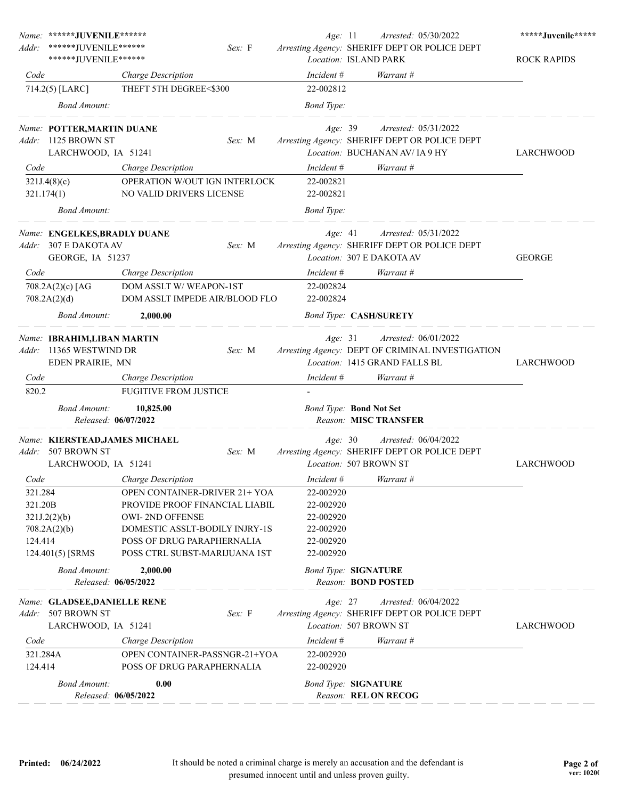| Addr:                      | Name: ******JUVENILE******<br>*******JUVENILE******<br>******JUVENILE****** |                                                                                                                 | Sex: F | Age: 11                                           | Arrested: 05/30/2022<br>Arresting Agency: SHERIFF DEPT OR POLICE DEPT<br>Location: ISLAND PARK                 | *****Juvenile*****<br><b>ROCK RAPIDS</b> |
|----------------------------|-----------------------------------------------------------------------------|-----------------------------------------------------------------------------------------------------------------|--------|---------------------------------------------------|----------------------------------------------------------------------------------------------------------------|------------------------------------------|
| Code                       |                                                                             | Charge Description                                                                                              |        | Incident #                                        | Warrant #                                                                                                      |                                          |
|                            | 714.2(5) [LARC]                                                             | THEFT 5TH DEGREE<\$300                                                                                          |        | 22-002812                                         |                                                                                                                |                                          |
|                            | <b>Bond Amount:</b>                                                         |                                                                                                                 |        | <b>Bond</b> Type:                                 |                                                                                                                |                                          |
|                            | Name: POTTER, MARTIN DUANE<br>Addr: 1125 BROWN ST<br>LARCHWOOD, IA 51241    |                                                                                                                 | Sex: M | Age: 39                                           | <i>Arrested:</i> 05/31/2022<br>Arresting Agency: SHERIFF DEPT OR POLICE DEPT<br>Location: BUCHANAN AV/ IA 9 HY | LARCHWOOD                                |
| Code                       |                                                                             | Charge Description                                                                                              |        | Incident #                                        | Warrant #                                                                                                      |                                          |
|                            | 321J.4(8)(c)<br>321.174(1)                                                  | OPERATION W/OUT IGN INTERLOCK<br>NO VALID DRIVERS LICENSE                                                       |        | 22-002821<br>22-002821                            |                                                                                                                |                                          |
|                            | <b>Bond Amount:</b>                                                         |                                                                                                                 |        | <b>Bond</b> Type:                                 |                                                                                                                |                                          |
| Addr:                      | Name: ENGELKES, BRADLY DUANE<br>307 E DAKOTA AV<br>GEORGE, IA 51237         |                                                                                                                 | Sex: M | Age: 41                                           | Arrested: 05/31/2022<br>Arresting Agency: SHERIFF DEPT OR POLICE DEPT<br>Location: 307 E DAKOTA AV             | <b>GEORGE</b>                            |
| Code                       |                                                                             | Charge Description                                                                                              |        | Incident #                                        | Warrant #                                                                                                      |                                          |
|                            | 708.2A(2)(c) [AG<br>708.2A(2)(d)                                            | DOM ASSLT W/WEAPON-1ST<br>DOM ASSLT IMPEDE AIR/BLOOD FLO                                                        |        | 22-002824<br>22-002824                            |                                                                                                                |                                          |
|                            | <b>Bond Amount:</b>                                                         | 2,000.00                                                                                                        |        |                                                   | <b>Bond Type: CASH/SURETY</b>                                                                                  |                                          |
| Addr:                      | Name: IBRAHIM, LIBAN MARTIN<br>11365 WESTWIND DR<br>EDEN PRAIRIE, MN        |                                                                                                                 | Sex: M | Age: 31                                           | Arrested: 06/01/2022<br>Arresting Agency: DEPT OF CRIMINAL INVESTIGATION<br>Location: 1415 GRAND FALLS BL      | <b>LARCHWOOD</b>                         |
| Code                       |                                                                             | Charge Description                                                                                              |        | Incident #                                        | Warrant #                                                                                                      |                                          |
| 820.2                      |                                                                             | <b>FUGITIVE FROM JUSTICE</b>                                                                                    |        |                                                   |                                                                                                                |                                          |
|                            | <b>Bond Amount:</b><br>Released: 06/07/2022                                 | 10,825.00                                                                                                       |        |                                                   | <b>Bond Type: Bond Not Set</b><br>Reason: MISC TRANSFER                                                        |                                          |
| Addr:                      | Name: KIERSTEAD, JAMES MICHAEL<br>507 BROWN ST                              |                                                                                                                 | Sex: M | Age: 30                                           | Arrested: 06/04/2022<br>Arresting Agency: SHERIFF DEPT OR POLICE DEPT                                          |                                          |
|                            | LARCHWOOD, IA 51241                                                         |                                                                                                                 |        |                                                   | Location: 507 BROWN ST                                                                                         | <b>LARCHWOOD</b>                         |
| Code<br>321.284<br>321.20B | 321J.2(2)(b)                                                                | Charge Description<br>OPEN CONTAINER-DRIVER 21+ YOA<br>PROVIDE PROOF FINANCIAL LIABIL<br><b>OWI-2ND OFFENSE</b> |        | Incident #<br>22-002920<br>22-002920<br>22-002920 | Warrant #                                                                                                      |                                          |
| 124.414                    | 708.2A(2)(b)<br>124.401(5) [SRMS                                            | DOMESTIC ASSLT-BODILY INJRY-1S<br>POSS OF DRUG PARAPHERNALIA<br>POSS CTRL SUBST-MARIJUANA 1ST                   |        | 22-002920<br>22-002920<br>22-002920               |                                                                                                                |                                          |
|                            | <b>Bond Amount:</b>                                                         | 2,000.00<br>Released: 06/05/2022                                                                                |        |                                                   | <b>Bond Type: SIGNATURE</b><br>Reason: <b>BOND POSTED</b>                                                      |                                          |
| Addr:                      | Name: GLADSEE, DANIELLE RENE<br>507 BROWN ST<br>LARCHWOOD, IA 51241         |                                                                                                                 | Sex: F | Age: 27                                           | Arrested: 06/04/2022<br>Arresting Agency: SHERIFF DEPT OR POLICE DEPT<br>Location: 507 BROWN ST                | LARCHWOOD                                |
| Code                       |                                                                             | Charge Description                                                                                              |        | Incident #                                        | Warrant #                                                                                                      |                                          |
| 321.284A<br>124.414        |                                                                             | OPEN CONTAINER-PASSNGR-21+YOA<br>POSS OF DRUG PARAPHERNALIA                                                     |        | 22-002920<br>22-002920                            |                                                                                                                |                                          |
|                            | <b>Bond Amount:</b>                                                         | 0.00<br>Released: 06/05/2022                                                                                    |        |                                                   | <b>Bond Type: SIGNATURE</b><br>Reason: REL ON RECOG                                                            |                                          |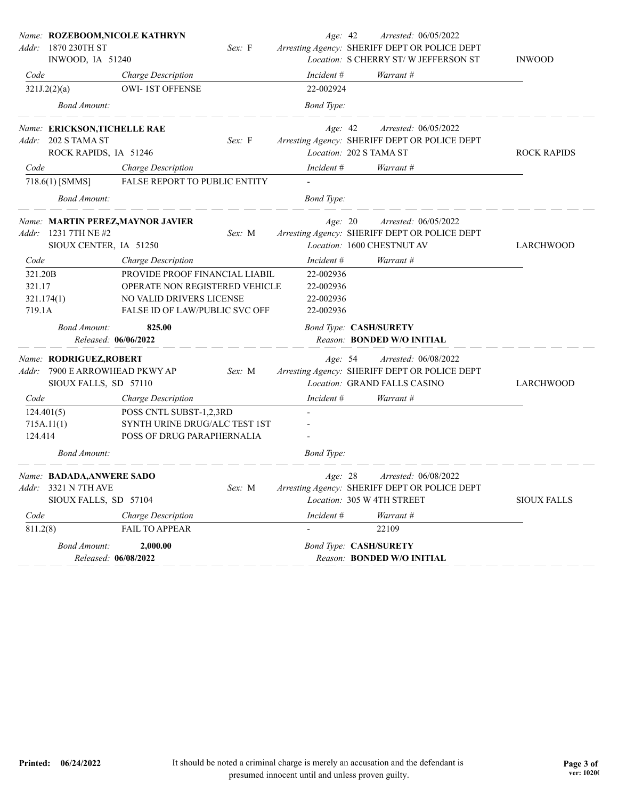|          | Name: ROZEBOOM, NICOLE KATHRYN |                                   |        | Age: 42                 | Arrested: 06/05/2022                          |                    |
|----------|--------------------------------|-----------------------------------|--------|-------------------------|-----------------------------------------------|--------------------|
| Addr:    | 1870 230TH ST                  |                                   | Sex: F |                         | Arresting Agency: SHERIFF DEPT OR POLICE DEPT |                    |
|          | INWOOD, IA 51240               |                                   |        |                         | Location: S CHERRY ST/W JEFFERSON ST          | <b>INWOOD</b>      |
| Code     |                                | Charge Description                |        | Incident #              | Warrant #                                     |                    |
|          | 321J.2(2)(a)                   | <b>OWI-1ST OFFENSE</b>            |        | 22-002924               |                                               |                    |
|          | <b>Bond Amount:</b>            |                                   |        | <b>Bond</b> Type:       |                                               |                    |
|          | Name: ERICKSON, TICHELLE RAE   |                                   |        | Age: 42                 | Arrested: 06/05/2022                          |                    |
|          | Addr: 202 S TAMA ST            |                                   | Sex: F |                         | Arresting Agency: SHERIFF DEPT OR POLICE DEPT |                    |
|          | ROCK RAPIDS, IA 51246          |                                   |        | Location: 202 S TAMA ST |                                               | <b>ROCK RAPIDS</b> |
| Code     |                                | Charge Description                |        | Incident #              | Warrant #                                     |                    |
|          | 718.6(1) [SMMS]                | FALSE REPORT TO PUBLIC ENTITY     |        |                         |                                               |                    |
|          | <b>Bond Amount:</b>            |                                   |        | <b>Bond</b> Type:       |                                               |                    |
|          |                                | Name: MARTIN PEREZ, MAYNOR JAVIER |        | Age: 20                 | Arrested: 06/05/2022                          |                    |
| Addr:    | 1231 7TH NE #2                 |                                   | Sex: M |                         | Arresting Agency: SHERIFF DEPT OR POLICE DEPT |                    |
|          | SIOUX CENTER, IA 51250         |                                   |        |                         | Location: 1600 CHESTNUT AV                    | <b>LARCHWOOD</b>   |
| Code     |                                | <b>Charge Description</b>         |        | Incident #              | Warrant #                                     |                    |
| 321.20B  |                                | PROVIDE PROOF FINANCIAL LIABIL    |        | 22-002936               |                                               |                    |
| 321.17   |                                | OPERATE NON REGISTERED VEHICLE    |        | 22-002936               |                                               |                    |
|          | 321.174(1)                     | NO VALID DRIVERS LICENSE          |        | 22-002936               |                                               |                    |
| 719.1A   |                                | FALSE ID OF LAW/PUBLIC SVC OFF    |        | 22-002936               |                                               |                    |
|          | <b>Bond Amount:</b>            | 825.00                            |        |                         | <b>Bond Type: CASH/SURETY</b>                 |                    |
|          | Released: 06/06/2022           |                                   |        |                         | Reason: BONDED W/O INITIAL                    |                    |
|          | Name: RODRIGUEZ, ROBERT        |                                   |        | Age: 54                 | Arrested: 06/08/2022                          |                    |
| Addr:    | 7900 E ARROWHEAD PKWY AP       |                                   | Sex: M |                         | Arresting Agency: SHERIFF DEPT OR POLICE DEPT |                    |
|          | SIOUX FALLS, SD 57110          |                                   |        |                         | Location: GRAND FALLS CASINO                  | LARCHWOOD          |
| Code     |                                | Charge Description                |        | Incident #              | Warrant #                                     |                    |
|          | 124.401(5)                     | POSS CNTL SUBST-1,2,3RD           |        |                         |                                               |                    |
|          | 715A.11(1)                     | SYNTH URINE DRUG/ALC TEST 1ST     |        |                         |                                               |                    |
| 124.414  |                                | POSS OF DRUG PARAPHERNALIA        |        |                         |                                               |                    |
|          | <b>Bond Amount:</b>            |                                   |        | <b>Bond Type:</b>       |                                               |                    |
|          | Name: BADADA, ANWERE SADO      |                                   |        | Age: 28                 | <i>Arrested:</i> 06/08/2022                   |                    |
|          | Addr: 3321 N 7TH AVE           |                                   | Sex: M |                         | Arresting Agency: SHERIFF DEPT OR POLICE DEPT |                    |
|          | SIOUX FALLS, SD 57104          |                                   |        |                         | Location: 305 W 4TH STREET                    | <b>SIOUX FALLS</b> |
| Code     |                                | <b>Charge Description</b>         |        | Incident #              | Warrant #                                     |                    |
|          |                                | <b>FAIL TO APPEAR</b>             |        |                         | 22109                                         |                    |
| 811.2(8) |                                |                                   |        |                         |                                               |                    |
|          | Bond Amount:                   | 2,000.00                          |        |                         | <b>Bond Type: CASH/SURETY</b>                 |                    |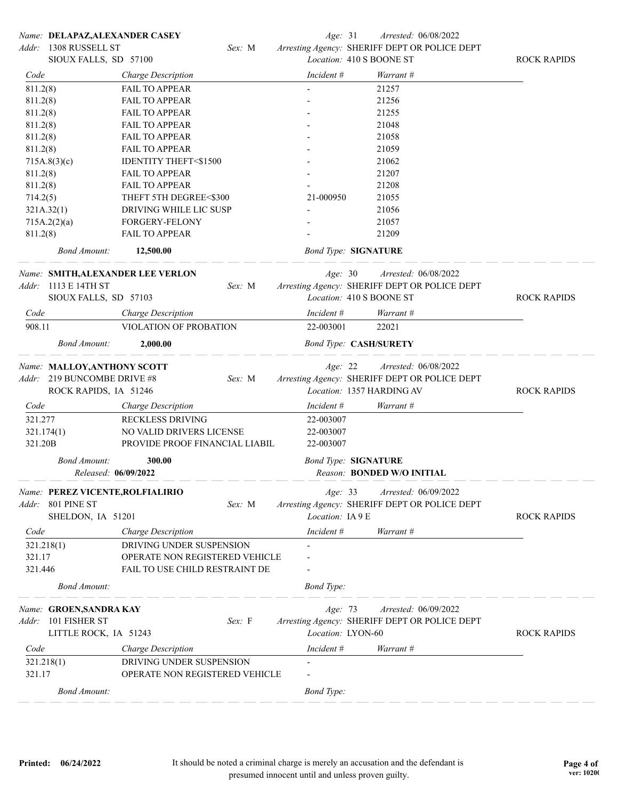|            |                             | Name: DELAPAZ, ALEXANDER CASEY    |        | Age: 31                     | Arrested: 06/08/2022                          |                    |
|------------|-----------------------------|-----------------------------------|--------|-----------------------------|-----------------------------------------------|--------------------|
| Addr:      | 1308 RUSSELL ST             |                                   | Sex: M |                             | Arresting Agency: SHERIFF DEPT OR POLICE DEPT |                    |
|            | SIOUX FALLS, SD 57100       |                                   |        |                             | Location: 410 S BOONE ST                      | <b>ROCK RAPIDS</b> |
| Code       |                             | Charge Description                |        | Incident #                  | Warrant #                                     |                    |
| 811.2(8)   |                             | <b>FAIL TO APPEAR</b>             |        |                             | 21257                                         |                    |
| 811.2(8)   |                             | <b>FAIL TO APPEAR</b>             |        |                             | 21256                                         |                    |
| 811.2(8)   |                             | <b>FAIL TO APPEAR</b>             |        |                             | 21255                                         |                    |
| 811.2(8)   |                             | <b>FAIL TO APPEAR</b>             |        |                             | 21048                                         |                    |
| 811.2(8)   |                             | <b>FAIL TO APPEAR</b>             |        |                             | 21058                                         |                    |
| 811.2(8)   |                             | <b>FAIL TO APPEAR</b>             |        |                             | 21059                                         |                    |
|            | 715A.8(3)(c)                | <b>IDENTITY THEFT&lt;\$1500</b>   |        |                             | 21062                                         |                    |
| 811.2(8)   |                             | <b>FAIL TO APPEAR</b>             |        |                             | 21207                                         |                    |
| 811.2(8)   |                             | <b>FAIL TO APPEAR</b>             |        |                             | 21208                                         |                    |
| 714.2(5)   |                             | THEFT 5TH DEGREE<\$300            |        | 21-000950                   | 21055                                         |                    |
| 321A.32(1) |                             | DRIVING WHILE LIC SUSP            |        |                             | 21056                                         |                    |
|            | 715A.2(2)(a)                | FORGERY-FELONY                    |        |                             | 21057                                         |                    |
| 811.2(8)   |                             | <b>FAIL TO APPEAR</b>             |        |                             | 21209                                         |                    |
|            | <b>Bond Amount:</b>         | 12,500.00                         |        | <b>Bond Type: SIGNATURE</b> |                                               |                    |
|            |                             | Name: SMITH, ALEXANDER LEE VERLON |        | Age: 30                     | Arrested: 06/08/2022                          |                    |
|            | Addr: 1113 E 14TH ST        |                                   | Sex: M |                             | Arresting Agency: SHERIFF DEPT OR POLICE DEPT |                    |
|            | SIOUX FALLS, SD 57103       |                                   |        |                             | Location: 410 S BOONE ST                      | <b>ROCK RAPIDS</b> |
| Code       |                             | Charge Description                |        | Incident #                  | Warrant #                                     |                    |
| 908.11     |                             | VIOLATION OF PROBATION            |        | 22-003001                   | 22021                                         |                    |
|            | <b>Bond Amount:</b>         | 2,000.00                          |        |                             | <b>Bond Type: CASH/SURETY</b>                 |                    |
|            | Name: MALLOY, ANTHONY SCOTT |                                   |        | Age: 22                     | Arrested: 06/08/2022                          |                    |
|            | Addr: 219 BUNCOMBE DRIVE #8 |                                   | Sex: M |                             | Arresting Agency: SHERIFF DEPT OR POLICE DEPT |                    |
|            | ROCK RAPIDS, IA 51246       |                                   |        |                             | Location: 1357 HARDING AV                     | <b>ROCK RAPIDS</b> |
| Code       |                             | Charge Description                |        | Incident #                  | Warrant #                                     |                    |
| 321.277    |                             | RECKLESS DRIVING                  |        | 22-003007                   |                                               |                    |
| 321.174(1) |                             | NO VALID DRIVERS LICENSE          |        | 22-003007                   |                                               |                    |
| 321.20B    |                             | PROVIDE PROOF FINANCIAL LIABIL    |        | 22-003007                   |                                               |                    |
|            | <b>Bond Amount:</b>         | 300.00                            |        | <b>Bond Type: SIGNATURE</b> |                                               |                    |
|            |                             | Released: 06/09/2022              |        |                             | Reason: BONDED W/O INITIAL                    |                    |
|            |                             | Name: PEREZ VICENTE, ROLFIALIRIO  |        | Age: 33                     | Arrested: 06/09/2022                          |                    |
|            | Addr: 801 PINE ST           |                                   | Sex: M |                             | Arresting Agency: SHERIFF DEPT OR POLICE DEPT |                    |
|            | SHELDON, IA 51201           |                                   |        | Location: IA9E              |                                               | <b>ROCK RAPIDS</b> |
| Code       |                             | Charge Description                |        | Incident #                  | Warrant #                                     |                    |
| 321.218(1) |                             | DRIVING UNDER SUSPENSION          |        |                             |                                               |                    |
| 321.17     |                             | OPERATE NON REGISTERED VEHICLE    |        |                             |                                               |                    |
| 321.446    |                             | FAIL TO USE CHILD RESTRAINT DE    |        |                             |                                               |                    |
|            | <b>Bond Amount:</b>         |                                   |        | <b>Bond Type:</b>           |                                               |                    |
|            |                             |                                   |        |                             |                                               |                    |
|            | Name: GROEN, SANDRA KAY     |                                   |        | Age: 73                     | Arrested: 06/09/2022                          |                    |
|            | Addr: 101 FISHER ST         |                                   | Sex: F |                             | Arresting Agency: SHERIFF DEPT OR POLICE DEPT |                    |
|            | LITTLE ROCK, IA 51243       |                                   |        | Location: LYON-60           |                                               | <b>ROCK RAPIDS</b> |
| Code       |                             | Charge Description                |        | Incident #                  | Warrant #                                     |                    |
| 321.218(1) |                             | DRIVING UNDER SUSPENSION          |        |                             |                                               |                    |
| 321.17     |                             | OPERATE NON REGISTERED VEHICLE    |        |                             |                                               |                    |
|            | <b>Bond Amount:</b>         |                                   |        | <b>Bond Type:</b>           |                                               |                    |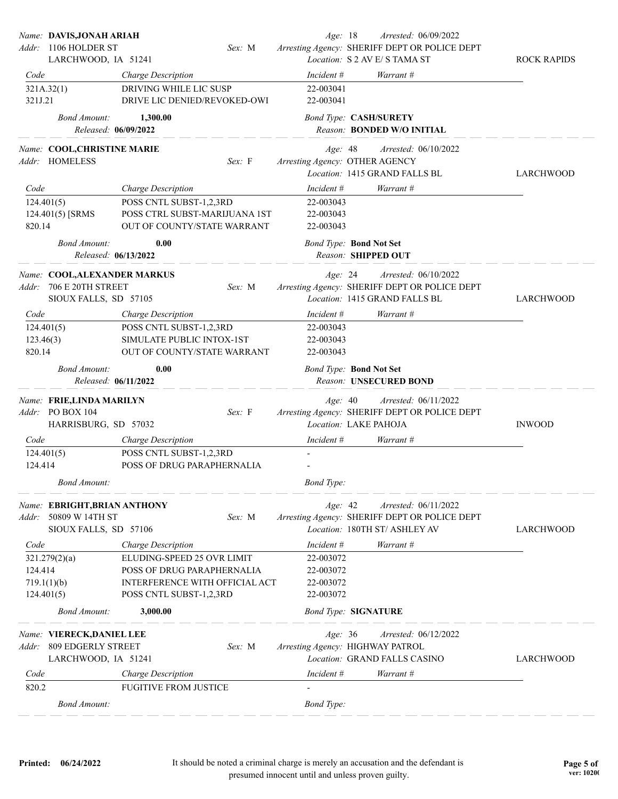|                                   | Name: DAVIS, JONAH ARIAH<br>Addr: 1106 HOLDER ST<br>LARCHWOOD, IA 51241    |                                                                                                                       | Sex: M | Age: 18                                          | Arrested: 06/09/2022<br>Arresting Agency: SHERIFF DEPT OR POLICE DEPT<br>Location: S 2 AV E/ S TAMA ST | <b>ROCK RAPIDS</b> |
|-----------------------------------|----------------------------------------------------------------------------|-----------------------------------------------------------------------------------------------------------------------|--------|--------------------------------------------------|--------------------------------------------------------------------------------------------------------|--------------------|
| Code                              |                                                                            | Charge Description                                                                                                    |        | Incident #                                       | Warrant #                                                                                              |                    |
|                                   | 321A.32(1)                                                                 | DRIVING WHILE LIC SUSP                                                                                                |        | 22-003041                                        |                                                                                                        |                    |
| 321J.21                           |                                                                            | DRIVE LIC DENIED/REVOKED-OWI                                                                                          |        | 22-003041                                        |                                                                                                        |                    |
|                                   | <b>Bond Amount:</b><br>Released: 06/09/2022                                | 1,300.00                                                                                                              |        | <b>Bond Type: CASH/SURETY</b>                    | Reason: BONDED W/O INITIAL                                                                             |                    |
|                                   | Name: COOL, CHRISTINE MARIE<br>Addr: HOMELESS                              |                                                                                                                       | Sex: F | Age: 48<br>Arresting Agency: OTHER AGENCY        | Arrested: 06/10/2022<br>Location: 1415 GRAND FALLS BL                                                  | LARCHWOOD          |
| Code                              |                                                                            | Charge Description                                                                                                    |        | Incident #                                       | Warrant #                                                                                              |                    |
| 124.401(5)<br>820.14              | 124.401(5) [SRMS                                                           | POSS CNTL SUBST-1,2,3RD<br>POSS CTRL SUBST-MARIJUANA 1ST<br>OUT OF COUNTY/STATE WARRANT                               |        | 22-003043<br>22-003043<br>22-003043              |                                                                                                        |                    |
|                                   | <b>Bond Amount:</b><br>Released: 06/13/2022                                | 0.00                                                                                                                  |        | <b>Bond Type: Bond Not Set</b>                   | Reason: SHIPPED OUT                                                                                    |                    |
| Addr:                             | Name: COOL, ALEXANDER MARKUS<br>706 E 20TH STREET<br>SIOUX FALLS, SD 57105 |                                                                                                                       | Sex: M | Age: 24                                          | Arrested: 06/10/2022<br>Arresting Agency: SHERIFF DEPT OR POLICE DEPT<br>Location: 1415 GRAND FALLS BL | <b>LARCHWOOD</b>   |
| Code                              |                                                                            | Charge Description                                                                                                    |        | Incident #                                       | Warrant #                                                                                              |                    |
| 124.401(5)<br>123.46(3)<br>820.14 |                                                                            | POSS CNTL SUBST-1,2,3RD<br>SIMULATE PUBLIC INTOX-1ST<br>OUT OF COUNTY/STATE WARRANT                                   |        | 22-003043<br>22-003043<br>22-003043              |                                                                                                        |                    |
|                                   | <b>Bond Amount:</b><br>Released: 06/11/2022                                | 0.00                                                                                                                  |        | <b>Bond Type: Bond Not Set</b>                   | Reason: UNSECURED BOND                                                                                 |                    |
|                                   | Name: FRIE,LINDA MARILYN<br>Addr: PO BOX 104<br>HARRISBURG, SD 57032       |                                                                                                                       | Sex: F | Age: 40<br>Location: LAKE PAHOJA                 | Arrested: 06/11/2022<br>Arresting Agency: SHERIFF DEPT OR POLICE DEPT                                  | <b>INWOOD</b>      |
| Code                              |                                                                            | Charge Description                                                                                                    |        | Incident #                                       | Warrant #                                                                                              |                    |
| 124.414                           | 124.401(5)                                                                 | POSS CNTL SUBST-1,2,3RD<br>POSS OF DRUG PARAPHERNALIA                                                                 |        |                                                  |                                                                                                        |                    |
|                                   | <b>Bond Amount:</b>                                                        |                                                                                                                       |        | <b>Bond Type:</b>                                |                                                                                                        |                    |
| Addr:                             | Name: EBRIGHT, BRIAN ANTHONY<br>50809 W 14TH ST<br>SIOUX FALLS, SD 57106   |                                                                                                                       | Sex: M | Age: 42                                          | Arrested: 06/11/2022<br>Arresting Agency: SHERIFF DEPT OR POLICE DEPT<br>Location: 180TH ST/ ASHLEY AV | <b>LARCHWOOD</b>   |
| Code                              |                                                                            | Charge Description                                                                                                    |        | Incident #                                       | Warrant #                                                                                              |                    |
| 124.414<br>124.401(5)             | 321.279(2)(a)<br>719.1(1)(b)                                               | ELUDING-SPEED 25 OVR LIMIT<br>POSS OF DRUG PARAPHERNALIA<br>INTERFERENCE WITH OFFICIAL ACT<br>POSS CNTL SUBST-1,2,3RD |        | 22-003072<br>22-003072<br>22-003072<br>22-003072 |                                                                                                        |                    |
|                                   | <b>Bond Amount:</b>                                                        | 3,000.00                                                                                                              |        | <b>Bond Type: SIGNATURE</b>                      |                                                                                                        |                    |
| Addr:                             | Name: VIERECK, DANIEL LEE<br>809 EDGERLY STREET<br>LARCHWOOD, IA 51241     |                                                                                                                       | Sex: M | Age: 36<br>Arresting Agency: HIGHWAY PATROL      | <i>Arrested:</i> 06/12/2022<br>Location: GRAND FALLS CASINO                                            | LARCHWOOD          |
| Code                              |                                                                            | Charge Description                                                                                                    |        | Incident #                                       | Warrant #                                                                                              |                    |
| 820.2                             |                                                                            | <b>FUGITIVE FROM JUSTICE</b>                                                                                          |        |                                                  |                                                                                                        |                    |
|                                   | <b>Bond Amount:</b>                                                        |                                                                                                                       |        | <b>Bond Type:</b>                                |                                                                                                        |                    |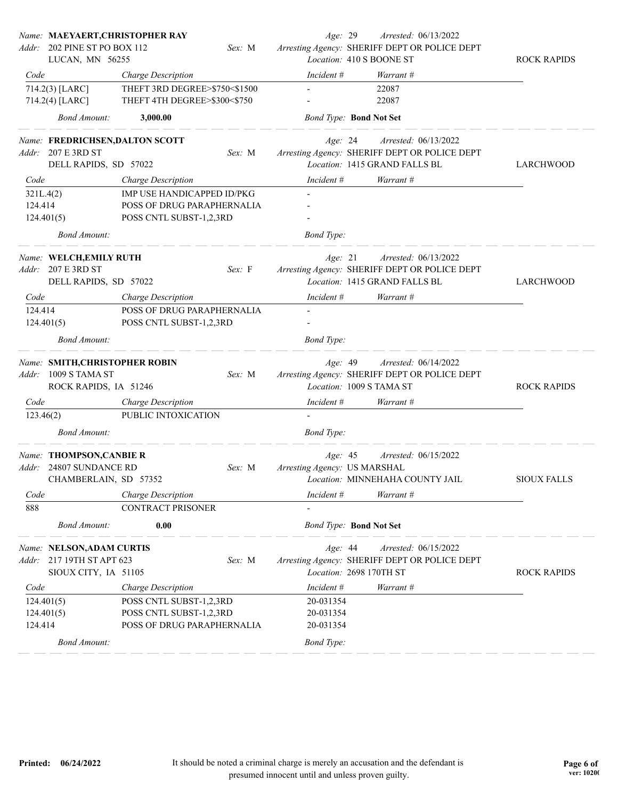| Addr: `   | Name: MAEYAERT, CHRISTOPHER RAY<br>202 PINE ST PO BOX 112 |                                                     | Sex: M | Age: 29                        | Arrested: 06/13/2022<br>Arresting Agency: SHERIFF DEPT OR POLICE DEPT |                    |
|-----------|-----------------------------------------------------------|-----------------------------------------------------|--------|--------------------------------|-----------------------------------------------------------------------|--------------------|
|           | LUCAN, MN 56255                                           |                                                     |        |                                | Location: 410 S BOONE ST                                              | <b>ROCK RAPIDS</b> |
| Code      | 714.2(3) [LARC]                                           | Charge Description<br>THEFT 3RD DEGREE>\$750<\$1500 |        | Incident #                     | Warrant #<br>22087                                                    |                    |
|           | 714.2(4) [LARC]                                           | THEFT 4TH DEGREE>\$300<\$750                        |        |                                | 22087                                                                 |                    |
|           | <b>Bond Amount:</b>                                       | 3,000.00                                            |        | <b>Bond Type: Bond Not Set</b> |                                                                       |                    |
|           | Name: FREDRICHSEN, DALTON SCOTT                           |                                                     |        | Age: 24                        | Arrested: 06/13/2022                                                  |                    |
|           | Addr: 207 E 3RD ST                                        |                                                     | Sex: M |                                | Arresting Agency: SHERIFF DEPT OR POLICE DEPT                         |                    |
|           | DELL RAPIDS, SD 57022                                     |                                                     |        |                                | Location: 1415 GRAND FALLS BL                                         | LARCHWOOD          |
| Code      |                                                           | <b>Charge Description</b>                           |        | Incident #                     | Warrant #                                                             |                    |
| 321L.4(2) |                                                           | IMP USE HANDICAPPED ID/PKG                          |        |                                |                                                                       |                    |
| 124.414   |                                                           | POSS OF DRUG PARAPHERNALIA                          |        |                                |                                                                       |                    |
|           | 124.401(5)                                                | POSS CNTL SUBST-1,2,3RD                             |        |                                |                                                                       |                    |
|           | <b>Bond Amount:</b>                                       |                                                     |        | <b>Bond</b> Type:              |                                                                       |                    |
|           | Name: WELCH, EMILY RUTH                                   |                                                     |        | Age: 21                        | Arrested: 06/13/2022                                                  |                    |
|           | Addr: 207 E 3RD ST                                        |                                                     | Sex: F |                                | Arresting Agency: SHERIFF DEPT OR POLICE DEPT                         |                    |
|           | DELL RAPIDS, SD 57022                                     |                                                     |        |                                | Location: 1415 GRAND FALLS BL                                         | LARCHWOOD          |
| Code      |                                                           | Charge Description                                  |        | Incident #                     | Warrant #                                                             |                    |
| 124.414   |                                                           | POSS OF DRUG PARAPHERNALIA                          |        |                                |                                                                       |                    |
|           | 124.401(5)                                                | POSS CNTL SUBST-1,2,3RD                             |        |                                |                                                                       |                    |
|           | <b>Bond Amount:</b>                                       |                                                     |        | <b>Bond Type:</b>              |                                                                       |                    |
|           | Name: SMITH, CHRISTOPHER ROBIN                            |                                                     |        | Age: 49                        | Arrested: 06/14/2022                                                  |                    |
| Addr:     | 1009 S TAMA ST                                            |                                                     | Sex: M |                                | Arresting Agency: SHERIFF DEPT OR POLICE DEPT                         |                    |
|           | ROCK RAPIDS, IA 51246                                     |                                                     |        |                                | Location: 1009 S TAMA ST                                              | <b>ROCK RAPIDS</b> |
| Code      |                                                           | Charge Description                                  |        | Incident #                     | Warrant #                                                             |                    |
| 123.46(2) |                                                           | PUBLIC INTOXICATION                                 |        |                                |                                                                       |                    |
|           | <b>Bond Amount:</b>                                       |                                                     |        | <b>Bond</b> Type:              |                                                                       |                    |
|           | Name: THOMPSON, CANBIE R                                  |                                                     |        | Age: 45                        | Arrested: 06/15/2022                                                  |                    |
|           | Addr: 24807 SUNDANCE RD                                   |                                                     | Sex: M | Arresting Agency: US MARSHAL   |                                                                       |                    |
|           | CHAMBERLAIN, SD 57352                                     |                                                     |        |                                | Location: MINNEHAHA COUNTY JAIL                                       | <b>SIOUX FALLS</b> |
| Code      |                                                           | Charge Description                                  |        | $Incident \#$                  | Warrant #                                                             |                    |
| 888       |                                                           | CONTRACT PRISONER                                   |        |                                |                                                                       |                    |
|           | <b>Bond Amount:</b>                                       | 0.00                                                |        | <b>Bond Type: Bond Not Set</b> |                                                                       |                    |
|           | Name: NELSON, ADAM CURTIS                                 |                                                     |        | Age: 44                        | Arrested: 06/15/2022                                                  |                    |
|           | Addr: 217 19TH ST APT 623                                 |                                                     | Sex: M |                                | Arresting Agency: SHERIFF DEPT OR POLICE DEPT                         |                    |
|           | SIOUX CITY, IA 51105                                      |                                                     |        |                                | Location: 2698 170TH ST                                               | <b>ROCK RAPIDS</b> |
| Code      |                                                           | Charge Description                                  |        | Incident #                     | Warrant #                                                             |                    |
|           | 124.401(5)                                                | POSS CNTL SUBST-1,2,3RD                             |        | 20-031354                      |                                                                       |                    |
|           | 124.401(5)                                                | POSS CNTL SUBST-1,2,3RD                             |        | 20-031354                      |                                                                       |                    |
| 124.414   |                                                           | POSS OF DRUG PARAPHERNALIA                          |        | 20-031354                      |                                                                       |                    |
|           | <b>Bond Amount:</b>                                       |                                                     |        | <b>Bond Type:</b>              |                                                                       |                    |
|           |                                                           |                                                     |        |                                |                                                                       |                    |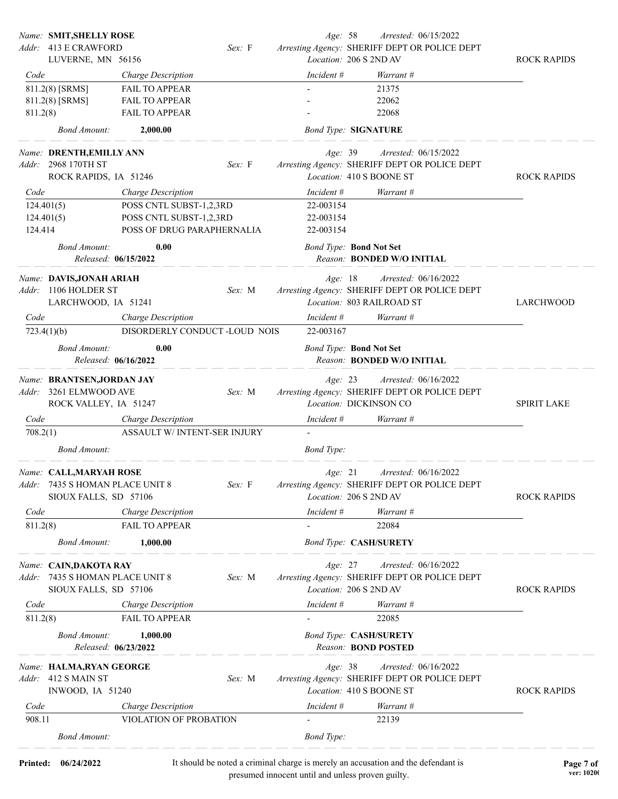|          | Name: SMIT, SHELLY ROSE                          |                                  |        | Age: 58           | Arrested: 06/15/2022                                                       |                    |
|----------|--------------------------------------------------|----------------------------------|--------|-------------------|----------------------------------------------------------------------------|--------------------|
|          | Addr: 413 E CRAWFORD                             |                                  | Sex: F |                   | Arresting Agency: SHERIFF DEPT OR POLICE DEPT                              |                    |
|          | LUVERNE, MN 56156                                |                                  |        |                   | Location: 206 S 2ND AV                                                     | <b>ROCK RAPIDS</b> |
| Code     |                                                  | Charge Description               |        | Incident #        | Warrant #                                                                  |                    |
|          | 811.2(8) [SRMS]                                  | <b>FAIL TO APPEAR</b>            |        |                   | 21375                                                                      |                    |
|          | 811.2(8) [SRMS]                                  | <b>FAIL TO APPEAR</b>            |        |                   | 22062                                                                      |                    |
| 811.2(8) |                                                  | <b>FAIL TO APPEAR</b>            |        |                   | 22068                                                                      |                    |
|          | <b>Bond Amount:</b>                              | 2,000.00                         |        |                   | <b>Bond Type: SIGNATURE</b>                                                |                    |
|          | Name: DRENTH, EMILLY ANN                         |                                  |        | Age: 39           | Arrested: 06/15/2022                                                       |                    |
|          | Addr: 2968 170TH ST                              |                                  | Sex: F |                   | Arresting Agency: SHERIFF DEPT OR POLICE DEPT                              |                    |
|          | ROCK RAPIDS, IA 51246                            |                                  |        |                   | Location: 410 S BOONE ST                                                   | <b>ROCK RAPIDS</b> |
| Code     |                                                  | Charge Description               |        | Incident #        | Warrant #                                                                  |                    |
|          | 124.401(5)                                       | POSS CNTL SUBST-1,2,3RD          |        | 22-003154         |                                                                            |                    |
|          | 124.401(5)                                       | POSS CNTL SUBST-1,2,3RD          |        | 22-003154         |                                                                            |                    |
| 124.414  |                                                  | POSS OF DRUG PARAPHERNALIA       |        | 22-003154         |                                                                            |                    |
|          | <b>Bond Amount:</b>                              | 0.00<br>Released: 06/15/2022     |        |                   | <b>Bond Type: Bond Not Set</b><br>Reason: BONDED W/O INITIAL               |                    |
|          |                                                  |                                  |        |                   |                                                                            |                    |
|          | Name: DAVIS, JONAH ARIAH<br>Addr: 1106 HOLDER ST |                                  |        | Age: 18           | Arrested: 06/16/2022                                                       |                    |
|          |                                                  |                                  | Sex: M |                   | Arresting Agency: SHERIFF DEPT OR POLICE DEPT<br>Location: 803 RAILROAD ST |                    |
|          | LARCHWOOD, IA 51241                              |                                  |        |                   |                                                                            | LARCHWOOD          |
| Code     |                                                  | Charge Description               |        | Incident #        | Warrant #                                                                  |                    |
|          | 723.4(1)(b)                                      | DISORDERLY CONDUCT -LOUD NOIS    |        | 22-003167         |                                                                            |                    |
|          | <b>Bond Amount:</b>                              | 0.00                             |        |                   | <b>Bond Type: Bond Not Set</b>                                             |                    |
|          |                                                  | Released: 06/16/2022             |        |                   | Reason: BONDED W/O INITIAL                                                 |                    |
|          | Name: BRANTSEN, JORDAN JAY                       |                                  |        | Age: 23           | Arrested: 06/16/2022                                                       |                    |
|          | Addr: 3261 ELMWOOD AVE                           |                                  | Sex: M |                   | Arresting Agency: SHERIFF DEPT OR POLICE DEPT                              |                    |
|          | ROCK VALLEY, IA 51247                            |                                  |        |                   | Location: DICKINSON CO                                                     | <b>SPIRIT LAKE</b> |
| Code     |                                                  | Charge Description               |        | Incident #        | Warrant #                                                                  |                    |
| 708.2(1) |                                                  | ASSAULT W/ INTENT-SER INJURY     |        |                   |                                                                            |                    |
|          |                                                  |                                  |        |                   |                                                                            |                    |
|          | <b>Bond Amount:</b>                              |                                  |        | <b>Bond</b> Type: |                                                                            |                    |
|          | Name: CALL, MARYAH ROSE                          |                                  |        | Age: 21           | Arrested: 06/16/2022                                                       |                    |
|          | Addr: 7435 S HOMAN PLACE UNIT 8                  |                                  |        |                   | Sex: F Arresting Agency: SHERIFF DEPT OR POLICE DEPT                       |                    |
|          | SIOUX FALLS, SD 57106                            |                                  |        |                   | Location: 206 S 2ND AV                                                     | <b>ROCK RAPIDS</b> |
| Code     |                                                  | Charge Description               |        | Incident #        | Warrant #                                                                  |                    |
| 811.2(8) |                                                  | FAIL TO APPEAR                   |        |                   | 22084                                                                      |                    |
|          |                                                  |                                  |        |                   |                                                                            |                    |
|          | <b>Bond Amount:</b>                              | 1,000.00                         |        |                   | <b>Bond Type: CASH/SURETY</b>                                              |                    |
|          | Name: CAIN, DAKOTA RAY                           |                                  |        | Age: 27           | Arrested: 06/16/2022                                                       |                    |
| Addr:    | 7435 S HOMAN PLACE UNIT 8                        |                                  | Sex: M |                   | Arresting Agency: SHERIFF DEPT OR POLICE DEPT                              |                    |
|          | SIOUX FALLS, SD 57106                            |                                  |        |                   | Location: 206 S 2ND AV                                                     | <b>ROCK RAPIDS</b> |
| Code     |                                                  | Charge Description               |        | Incident #        | Warrant #                                                                  |                    |
| 811.2(8) |                                                  | FAIL TO APPEAR                   |        |                   | 22085                                                                      |                    |
|          |                                                  |                                  |        |                   |                                                                            |                    |
|          | <b>Bond Amount:</b>                              | 1,000.00<br>Released: 06/23/2022 |        |                   | <b>Bond Type: CASH/SURETY</b><br>Reason: <b>BOND POSTED</b>                |                    |
|          | Name: HALMA, RYAN GEORGE                         |                                  |        | Age: 38           | Arrested: 06/16/2022                                                       |                    |
|          | Addr: 412 S MAIN ST                              |                                  | Sex: M |                   | Arresting Agency: SHERIFF DEPT OR POLICE DEPT                              |                    |
|          | INWOOD, IA 51240                                 |                                  |        |                   | Location: 410 S BOONE ST                                                   | <b>ROCK RAPIDS</b> |
| Code     |                                                  | Charge Description               |        | Incident #        | Warrant #                                                                  |                    |
| 908.11   |                                                  | VIOLATION OF PROBATION           |        |                   | 22139                                                                      |                    |
|          |                                                  |                                  |        |                   |                                                                            |                    |
|          | <b>Bond Amount:</b>                              |                                  |        | <b>Bond</b> Type: |                                                                            |                    |
|          |                                                  |                                  |        |                   |                                                                            |                    |

**Printed:**  $06/24/2022$  It should be noted a criminal charge is merely an accusation and the defendant is **Page 7 of** presumed innocent until and unless proven guilty.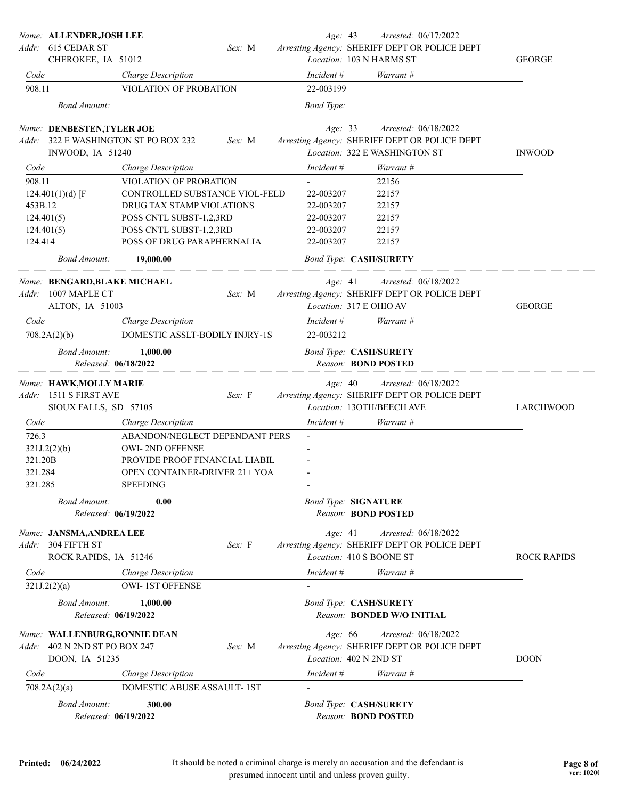|                                        | Name: ALLENDER,JOSH LEE<br>Addr: 615 CEDAR ST                                   |                                                                                                                                                | Sex: M | Age: 43                             | Arrested: 06/17/2022<br>Arresting Agency: SHERIFF DEPT OR POLICE DEPT                                  |                    |
|----------------------------------------|---------------------------------------------------------------------------------|------------------------------------------------------------------------------------------------------------------------------------------------|--------|-------------------------------------|--------------------------------------------------------------------------------------------------------|--------------------|
|                                        | CHEROKEE, IA 51012                                                              |                                                                                                                                                |        |                                     | Location: 103 N HARMS ST                                                                               | <b>GEORGE</b>      |
| Code                                   |                                                                                 | Charge Description                                                                                                                             |        | Incident #                          | Warrant #                                                                                              |                    |
| 908.11                                 |                                                                                 | VIOLATION OF PROBATION                                                                                                                         |        | 22-003199                           |                                                                                                        |                    |
|                                        | <b>Bond Amount:</b>                                                             |                                                                                                                                                |        | <b>Bond</b> Type:                   |                                                                                                        |                    |
| Addr:                                  | Name: DENBESTEN, TYLER JOE<br>INWOOD, IA 51240                                  | 322 E WASHINGTON ST PO BOX 232                                                                                                                 | Sex: M | Age: 33                             | Arrested: 06/18/2022<br>Arresting Agency: SHERIFF DEPT OR POLICE DEPT<br>Location: 322 E WASHINGTON ST | <b>INWOOD</b>      |
| Code                                   |                                                                                 | Charge Description                                                                                                                             |        | Incident #                          | Warrant #                                                                                              |                    |
| 908.11                                 |                                                                                 | VIOLATION OF PROBATION                                                                                                                         |        |                                     | 22156                                                                                                  |                    |
|                                        | 124.401(1)(d) [F                                                                | CONTROLLED SUBSTANCE VIOL-FELD                                                                                                                 |        | 22-003207                           | 22157                                                                                                  |                    |
| 453B.12                                |                                                                                 | DRUG TAX STAMP VIOLATIONS                                                                                                                      |        | 22-003207                           | 22157                                                                                                  |                    |
| 124.401(5)                             |                                                                                 | POSS CNTL SUBST-1,2,3RD                                                                                                                        |        | 22-003207                           | 22157                                                                                                  |                    |
| 124.401(5)                             |                                                                                 | POSS CNTL SUBST-1,2,3RD                                                                                                                        |        | 22-003207                           | 22157                                                                                                  |                    |
| 124.414                                |                                                                                 | POSS OF DRUG PARAPHERNALIA                                                                                                                     |        | 22-003207                           | 22157                                                                                                  |                    |
|                                        | <i>Bond Amount:</i>                                                             | 19,000.00                                                                                                                                      |        | <b>Bond Type: CASH/SURETY</b>       |                                                                                                        |                    |
| Addr:                                  | Name: BENGARD, BLAKE MICHAEL<br>1007 MAPLE CT<br>ALTON, IA 51003                |                                                                                                                                                | Sex: M | Age: 41<br>Location: 317 E OHIO AV  | Arrested: 06/18/2022<br>Arresting Agency: SHERIFF DEPT OR POLICE DEPT                                  | <b>GEORGE</b>      |
| Code                                   |                                                                                 | Charge Description                                                                                                                             |        | Incident #                          | Warrant #                                                                                              |                    |
|                                        | 708.2A(2)(b)                                                                    | DOMESTIC ASSLT-BODILY INJRY-1S                                                                                                                 |        | 22-003212                           |                                                                                                        |                    |
|                                        | <b>Bond Amount:</b><br>Released: 06/18/2022                                     | 1,000.00                                                                                                                                       |        | <b>Bond Type: CASH/SURETY</b>       | Reason: <b>BOND POSTED</b>                                                                             |                    |
| Addr:                                  | Name: HAWK,MOLLY MARIE<br>1511 S FIRST AVE<br>SIOUX FALLS, SD 57105             |                                                                                                                                                | Sex: F | Age: 40                             | Arrested: 06/18/2022<br>Arresting Agency: SHERIFF DEPT OR POLICE DEPT<br>Location: 13OTH/BEECH AVE     | LARCHWOOD          |
| Code                                   |                                                                                 | Charge Description                                                                                                                             |        | Incident #                          | Warrant #                                                                                              |                    |
| 726.3<br>321.20B<br>321.284<br>321.285 | 321J.2(2)(b)                                                                    | ABANDON/NEGLECT DEPENDANT PERS<br>OWI-2ND OFFENSE<br>PROVIDE PROOF FINANCIAL LIABIL<br><b>OPEN CONTAINER-DRIVER 21+ YOA</b><br><b>SPEEDING</b> |        |                                     |                                                                                                        |                    |
|                                        | <b>Bond Amount:</b><br>Released: 06/19/2022                                     | 0.00                                                                                                                                           |        | <b>Bond Type: SIGNATURE</b>         | Reason: <b>BOND POSTED</b>                                                                             |                    |
|                                        | Name: JANSMA,ANDREA LEE<br>Addr: 304 FIFTH ST<br>ROCK RAPIDS, IA 51246          |                                                                                                                                                | Sex: F | Age: 41<br>Location: 410 S BOONE ST | Arrested: 06/18/2022<br>Arresting Agency: SHERIFF DEPT OR POLICE DEPT                                  | <b>ROCK RAPIDS</b> |
| Code                                   |                                                                                 | Charge Description                                                                                                                             |        | Incident #                          | Warrant #                                                                                              |                    |
|                                        | 321J.2(2)(a)                                                                    | <b>OWI-1ST OFFENSE</b>                                                                                                                         |        |                                     |                                                                                                        |                    |
|                                        | <b>Bond Amount:</b><br>Released: 06/19/2022                                     | 1,000.00                                                                                                                                       |        | <b>Bond Type: CASH/SURETY</b>       | Reason: BONDED W/O INITIAL                                                                             |                    |
|                                        | Name: WALLENBURG,RONNIE DEAN<br>Addr: 402 N 2ND ST PO BOX 247<br>DOON, IA 51235 |                                                                                                                                                | Sex: M | Age: 66<br>Location: 402 N 2ND ST   | Arrested: 06/18/2022<br>Arresting Agency: SHERIFF DEPT OR POLICE DEPT                                  | <b>DOON</b>        |
| Code                                   |                                                                                 | Charge Description                                                                                                                             |        | Incident #                          | Warrant #                                                                                              |                    |
|                                        | 708.2A(2)(a)                                                                    | DOMESTIC ABUSE ASSAULT-1ST                                                                                                                     |        |                                     |                                                                                                        |                    |
|                                        | <b>Bond Amount:</b><br>Released: 06/19/2022                                     | 300.00                                                                                                                                         |        | <b>Bond Type: CASH/SURETY</b>       | Reason: <b>BOND POSTED</b>                                                                             |                    |